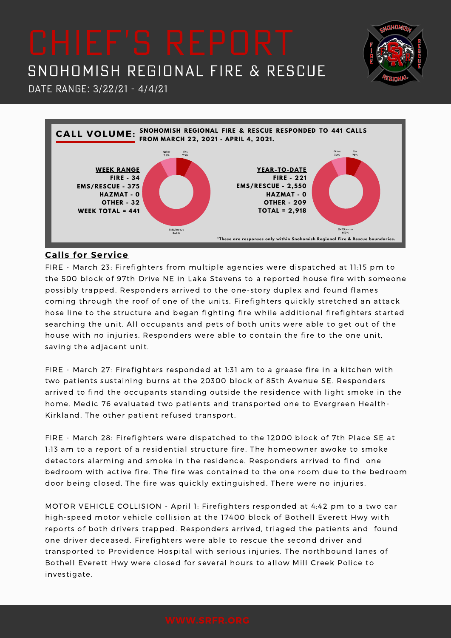# SNOHOMISH REGIONAL FIRE & RESCUE

Date Range: 3/22/21 - 4/4/21



**NHOM** 

## **Calls for Service**

FIRE - March 23: Firefighters from multiple agencies were dispatched at 11:15 pm to the 500 block of 97th Drive NE in Lake Stevens to a reported house fire with someone possibly trapped. Responders arrived to the one-story duplex and found flames coming through the roof of one of the units. Firefighters quickly stretched an attack hose line to the structure and began fighting fire while additional firefighters started searching the unit. All occupants and pets of both units were able to get out of the house with no injuries. Responders were able to contain the fire to the one unit, saving the adjacent unit.

FIRE - March 27: Firefighters responded at 1:31 am to a grease fire in a kitchen with two patients sustaining burns at the 20300 block of 85th Avenue SE. Responders arrived to find the occupants standing outside the residence with light smoke in the home. Medic 76 evaluated two patients and transported one to Evergreen Health-Kirkland. The other patient refused transport.

FIRE - March 28: Firefighters were dispatched to the 12000 block of 7th Place SE at 1:13 am to a report of a residential structure fire. The homeowner awoke to smoke detectors alarming and smoke in the residence. Responders arrived to find one bedroom with active fire. The fire was contained to the one room due to the bedroom door being closed. The fire was quickly extinguished. There were no injuries.

MOTOR VEHICLE COLLISION - April 1: Firefighters responded at 4:42 pm to a two car high-speed motor vehicle collision at the 17400 block of Bothell Everett Hwy with reports of both drivers trapped. Responders arrived, triaged the patients and found one driver deceased. Firefighters were able to rescue the second driver and transported to Providence Hospital with serious injuries. The northbound lanes of Bothell Everett Hwy were closed for several hours to allow Mill Creek Police to investigate.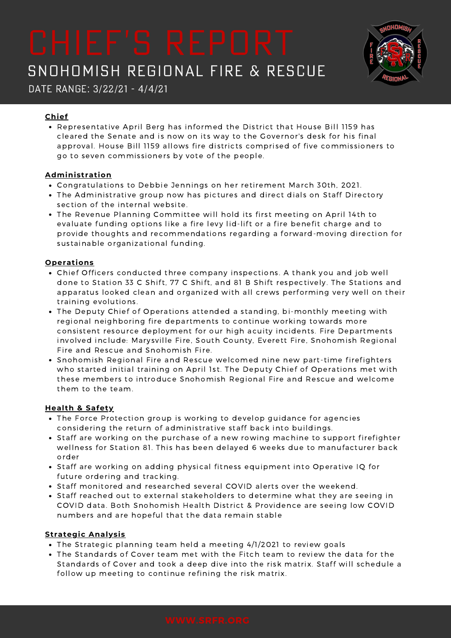# SNOHOMISH REGIONAL FIRE & RESCUE



Date Range: 3/22/21 - 4/4/21

### **Chief**

Representative April Berg has informed the District that House Bill 1159 has cleared the Senate and is now on its way to the Governor's desk for his final approval. House Bill 1159 allows fire districts comprised of five commissioners to go to seven commissioners by vote of the people.

### **Administration**

- Congratulations to Debbie Jennings on her retirement March 30th, 2021.
- The Administrative group now has pictures and direct dials on Staff Directory section of the internal website.
- The Revenue Planning Committee will hold its first meeting on April 14th to evaluate funding options like a fire levy lid-lift or a fire benefit charge and to provide thoughts and recommendations regarding a forward-moving direction for sustainable organizational funding.

### **Operations**

- Chief Officers conducted three company inspections. A thank you and job well done to Station 33 C Shift, 77 C Shift, and 81 B Shift respectively. The Stations and apparatus looked clean and organized with all crews performing very well on their training evolutions.
- The Deputy Chief of Operations attended a standing, bi-monthly meeting with regional neighboring fire departments to continue working towards more consistent resource deployment for our high acuity incidents. Fire Departments involved include: Marysville Fire, South County, Everett Fire, Snohomish Regional Fire and Rescue and Snohomish Fire.
- Snohomish Regional Fire and Rescue welcomed nine new part-time firefighters who started initial training on April 1st. The Deputy Chief of Operations met with these members to introduce Snohomish Regional Fire and Rescue and welcome them to the team.

## **Health & Safety**

- The Force Protection group is working to develop guidance for agencies considering the return of administrative staff back into buildings.
- Staff are working on the purchase of a new rowing machine to support firefighter wellness for Station 81. This has been delayed 6 weeks due to manufacturer back order
- Staff are working on adding physical fitness equipment into Operative IQ for future ordering and tracking.
- Staff monitored and researched several COVID alerts over the weekend.
- Staff reached out to external stakeholders to determine what they are seeing in COVID data. Both Snohomish Health District & Providence are seeing low COVID numbers and are hopeful that the data remain stable

## **Strategic Analysis**

- The Strategic planning team held a meeting 4/1/2021 to review goals
- The Standards of Cover team met with the Fitch team to review the data for the Standards of Cover and took a deep dive into the risk matrix. Staff will schedule a follow up meeting to continue refining the risk matrix.